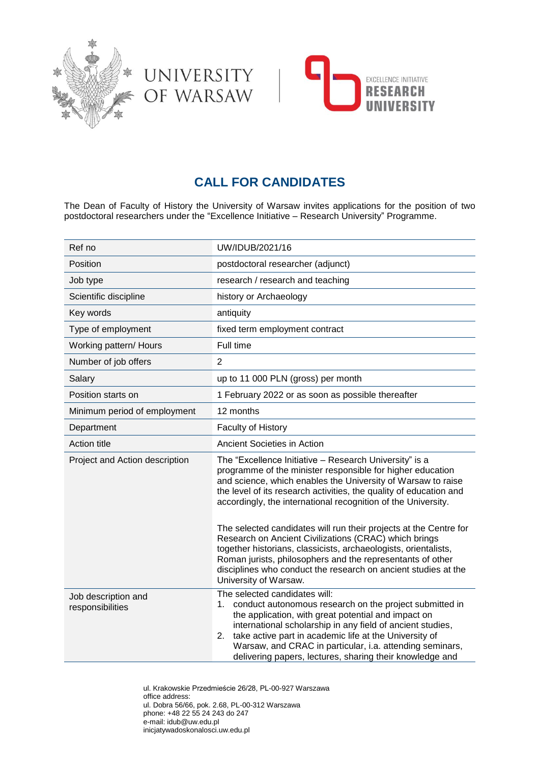



# **CALL FOR CANDIDATES**

UNIVERSITY<br>OF WARSAW

The Dean of Faculty of History the University of Warsaw invites applications for the position of two postdoctoral researchers under the "Excellence Initiative – Research University" Programme.

| Ref no                                  | UW/IDUB/2021/16                                                                                                                                                                                                                                                                                                                                                                                                                                                                                                                                                                                                                                                                       |
|-----------------------------------------|---------------------------------------------------------------------------------------------------------------------------------------------------------------------------------------------------------------------------------------------------------------------------------------------------------------------------------------------------------------------------------------------------------------------------------------------------------------------------------------------------------------------------------------------------------------------------------------------------------------------------------------------------------------------------------------|
| Position                                | postdoctoral researcher (adjunct)                                                                                                                                                                                                                                                                                                                                                                                                                                                                                                                                                                                                                                                     |
| Job type                                | research / research and teaching                                                                                                                                                                                                                                                                                                                                                                                                                                                                                                                                                                                                                                                      |
| Scientific discipline                   | history or Archaeology                                                                                                                                                                                                                                                                                                                                                                                                                                                                                                                                                                                                                                                                |
| Key words                               | antiquity                                                                                                                                                                                                                                                                                                                                                                                                                                                                                                                                                                                                                                                                             |
| Type of employment                      | fixed term employment contract                                                                                                                                                                                                                                                                                                                                                                                                                                                                                                                                                                                                                                                        |
| Working pattern/ Hours                  | Full time                                                                                                                                                                                                                                                                                                                                                                                                                                                                                                                                                                                                                                                                             |
| Number of job offers                    | $\overline{2}$                                                                                                                                                                                                                                                                                                                                                                                                                                                                                                                                                                                                                                                                        |
| Salary                                  | up to 11 000 PLN (gross) per month                                                                                                                                                                                                                                                                                                                                                                                                                                                                                                                                                                                                                                                    |
| Position starts on                      | 1 February 2022 or as soon as possible thereafter                                                                                                                                                                                                                                                                                                                                                                                                                                                                                                                                                                                                                                     |
| Minimum period of employment            | 12 months                                                                                                                                                                                                                                                                                                                                                                                                                                                                                                                                                                                                                                                                             |
| Department                              | Faculty of History                                                                                                                                                                                                                                                                                                                                                                                                                                                                                                                                                                                                                                                                    |
| <b>Action title</b>                     | Ancient Societies in Action                                                                                                                                                                                                                                                                                                                                                                                                                                                                                                                                                                                                                                                           |
| Project and Action description          | The "Excellence Initiative - Research University" is a<br>programme of the minister responsible for higher education<br>and science, which enables the University of Warsaw to raise<br>the level of its research activities, the quality of education and<br>accordingly, the international recognition of the University.<br>The selected candidates will run their projects at the Centre for<br>Research on Ancient Civilizations (CRAC) which brings<br>together historians, classicists, archaeologists, orientalists,<br>Roman jurists, philosophers and the representants of other<br>disciplines who conduct the research on ancient studies at the<br>University of Warsaw. |
| Job description and<br>responsibilities | The selected candidates will:<br>conduct autonomous research on the project submitted in<br>1.<br>the application, with great potential and impact on<br>international scholarship in any field of ancient studies,<br>take active part in academic life at the University of<br>2.<br>Warsaw, and CRAC in particular, i.a. attending seminars,<br>delivering papers, lectures, sharing their knowledge and                                                                                                                                                                                                                                                                           |

ul. Krakowskie Przedmieście 26/28, PL-00-927 Warszawa office address: ul. Dobra 56/66, pok. 2.68, PL-00-312 Warszawa phone: +48 22 55 24 243 do 247 e-mail: idub@uw.edu.pl inicjatywadoskonalosci.uw.edu.pl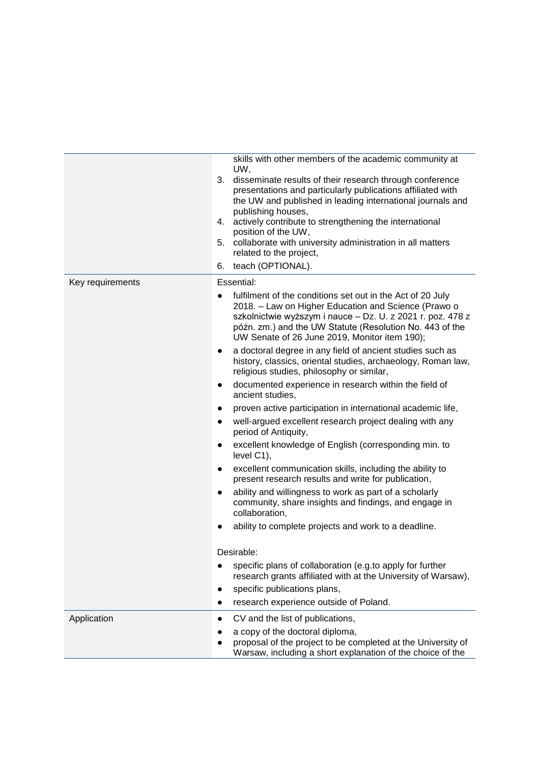| skills with other members of the academic community at<br>UW,<br>3.<br>disseminate results of their research through conference<br>presentations and particularly publications affiliated with<br>the UW and published in leading international journals and<br>publishing houses,<br>actively contribute to strengthening the international<br>4.<br>position of the UW,<br>5. collaborate with university administration in all matters<br>related to the project,<br>teach (OPTIONAL).<br>6. |
|-------------------------------------------------------------------------------------------------------------------------------------------------------------------------------------------------------------------------------------------------------------------------------------------------------------------------------------------------------------------------------------------------------------------------------------------------------------------------------------------------|
| Essential:                                                                                                                                                                                                                                                                                                                                                                                                                                                                                      |
| fulfilment of the conditions set out in the Act of 20 July<br>$\bullet$<br>2018. - Law on Higher Education and Science (Prawo o<br>szkolnictwie wyższym i nauce - Dz. U. z 2021 r. poz. 478 z<br>późn. zm.) and the UW Statute (Resolution No. 443 of the<br>UW Senate of 26 June 2019, Monitor item 190);                                                                                                                                                                                      |
| a doctoral degree in any field of ancient studies such as<br>$\bullet$<br>history, classics, oriental studies, archaeology, Roman law,<br>religious studies, philosophy or similar,                                                                                                                                                                                                                                                                                                             |
| documented experience in research within the field of<br>$\bullet$<br>ancient studies.                                                                                                                                                                                                                                                                                                                                                                                                          |
| proven active participation in international academic life,<br>$\bullet$                                                                                                                                                                                                                                                                                                                                                                                                                        |
| well-argued excellent research project dealing with any<br>$\bullet$<br>period of Antiquity,                                                                                                                                                                                                                                                                                                                                                                                                    |
| excellent knowledge of English (corresponding min. to<br>$\bullet$<br>level C1),                                                                                                                                                                                                                                                                                                                                                                                                                |
| excellent communication skills, including the ability to<br>$\bullet$<br>present research results and write for publication,                                                                                                                                                                                                                                                                                                                                                                    |
| ability and willingness to work as part of a scholarly<br>$\bullet$<br>community, share insights and findings, and engage in<br>collaboration,                                                                                                                                                                                                                                                                                                                                                  |
| ability to complete projects and work to a deadline.                                                                                                                                                                                                                                                                                                                                                                                                                                            |
| Desirable:                                                                                                                                                                                                                                                                                                                                                                                                                                                                                      |
| specific plans of collaboration (e.g.to apply for further<br>$\bullet$<br>research grants affiliated with at the University of Warsaw),                                                                                                                                                                                                                                                                                                                                                         |
| specific publications plans,                                                                                                                                                                                                                                                                                                                                                                                                                                                                    |
| research experience outside of Poland.                                                                                                                                                                                                                                                                                                                                                                                                                                                          |
| CV and the list of publications,                                                                                                                                                                                                                                                                                                                                                                                                                                                                |
| a copy of the doctoral diploma,<br>proposal of the project to be completed at the University of<br>Warsaw, including a short explanation of the choice of the                                                                                                                                                                                                                                                                                                                                   |
|                                                                                                                                                                                                                                                                                                                                                                                                                                                                                                 |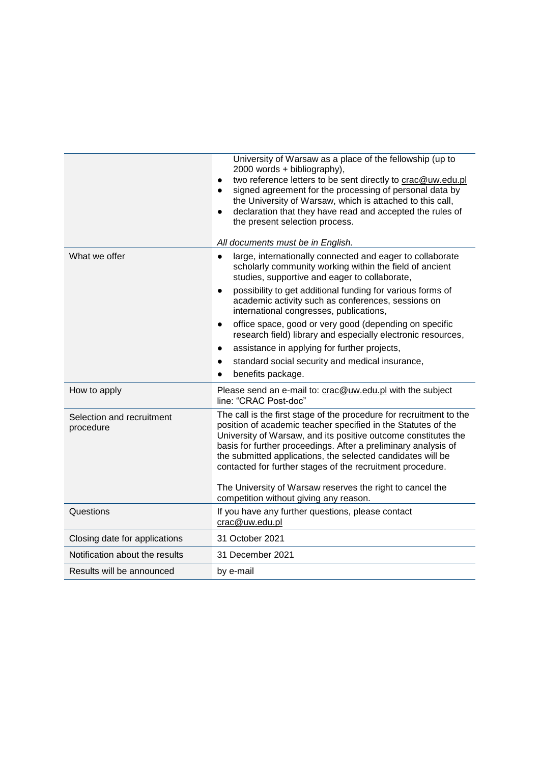|                                        | University of Warsaw as a place of the fellowship (up to<br>2000 words + bibliography),<br>two reference letters to be sent directly to crac@uw.edu.pl<br>$\bullet$<br>signed agreement for the processing of personal data by<br>$\bullet$<br>the University of Warsaw, which is attached to this call,<br>declaration that they have read and accepted the rules of<br>$\bullet$<br>the present selection process.<br>All documents must be in English.                                                                                                                                                                                       |
|----------------------------------------|-------------------------------------------------------------------------------------------------------------------------------------------------------------------------------------------------------------------------------------------------------------------------------------------------------------------------------------------------------------------------------------------------------------------------------------------------------------------------------------------------------------------------------------------------------------------------------------------------------------------------------------------------|
| What we offer                          | large, internationally connected and eager to collaborate<br>$\bullet$<br>scholarly community working within the field of ancient<br>studies, supportive and eager to collaborate,<br>possibility to get additional funding for various forms of<br>$\bullet$<br>academic activity such as conferences, sessions on<br>international congresses, publications,<br>office space, good or very good (depending on specific<br>$\bullet$<br>research field) library and especially electronic resources,<br>assistance in applying for further projects,<br>٠<br>standard social security and medical insurance,<br>$\bullet$<br>benefits package. |
| How to apply                           | Please send an e-mail to: crac@uw.edu.pl with the subject<br>line: "CRAC Post-doc"                                                                                                                                                                                                                                                                                                                                                                                                                                                                                                                                                              |
| Selection and recruitment<br>procedure | The call is the first stage of the procedure for recruitment to the<br>position of academic teacher specified in the Statutes of the<br>University of Warsaw, and its positive outcome constitutes the<br>basis for further proceedings. After a preliminary analysis of<br>the submitted applications, the selected candidates will be<br>contacted for further stages of the recruitment procedure.<br>The University of Warsaw reserves the right to cancel the<br>competition without giving any reason.                                                                                                                                    |
| Questions                              | If you have any further questions, please contact<br>crac@uw.edu.pl                                                                                                                                                                                                                                                                                                                                                                                                                                                                                                                                                                             |
| Closing date for applications          | 31 October 2021                                                                                                                                                                                                                                                                                                                                                                                                                                                                                                                                                                                                                                 |
| Notification about the results         | 31 December 2021                                                                                                                                                                                                                                                                                                                                                                                                                                                                                                                                                                                                                                |
| Results will be announced              | by e-mail                                                                                                                                                                                                                                                                                                                                                                                                                                                                                                                                                                                                                                       |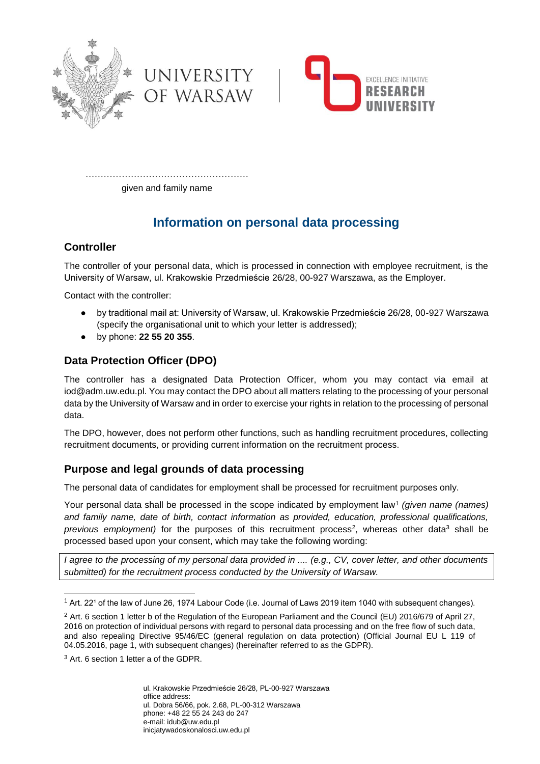



……………………………………………… given and family name

UNIVERSITY

OF WARSAW

## **Information on personal data processing**

## **Controller**

The controller of your personal data, which is processed in connection with employee recruitment, is the University of Warsaw, ul. Krakowskie Przedmieście 26/28, 00-927 Warszawa, as the Employer.

Contact with the controller:

- by traditional mail at: University of Warsaw, ul. Krakowskie Przedmieście 26/28, 00-927 Warszawa (specify the organisational unit to which your letter is addressed);
- by phone: **22 55 20 355**.

## **Data Protection Officer (DPO)**

The controller has a designated Data Protection Officer, whom you may contact via email at iod@adm.uw.edu.pl. You may contact the DPO about all matters relating to the processing of your personal data by the University of Warsaw and in order to exercise your rights in relation to the processing of personal data.

The DPO, however, does not perform other functions, such as handling recruitment procedures, collecting recruitment documents, or providing current information on the recruitment process.

## **Purpose and legal grounds of data processing**

The personal data of candidates for employment shall be processed for recruitment purposes only.

Your personal data shall be processed in the scope indicated by employment law<sup>1</sup> (given name (names) *and family name, date of birth, contact information as provided, education, professional qualifications,*  previous employment) for the purposes of this recruitment process<sup>2</sup>, whereas other data<sup>3</sup> shall be processed based upon your consent, which may take the following wording:

*I agree to the processing of my personal data provided in .... (e.g., CV, cover letter, and other documents submitted) for the recruitment process conducted by the University of Warsaw.*

<sup>3</sup> Art. 6 section 1 letter a of the GDPR.

1

ul. Krakowskie Przedmieście 26/28, PL-00-927 Warszawa office address: ul. Dobra 56/66, pok. 2.68, PL-00-312 Warszawa phone: +48 22 55 24 243 do 247 e-mail: idub@uw.edu.pl inicjatywadoskonalosci.uw.edu.pl

<sup>&</sup>lt;sup>1</sup> Art. 22<sup>1</sup> of the law of June 26, 1974 Labour Code (i.e. Journal of Laws 2019 item 1040 with subsequent changes).

<sup>&</sup>lt;sup>2</sup> Art. 6 section 1 letter b of the Regulation of the European Parliament and the Council (EU) 2016/679 of April 27, 2016 on protection of individual persons with regard to personal data processing and on the free flow of such data, and also repealing Directive 95/46/EC (general regulation on data protection) (Official Journal EU L 119 of 04.05.2016, page 1, with subsequent changes) (hereinafter referred to as the GDPR).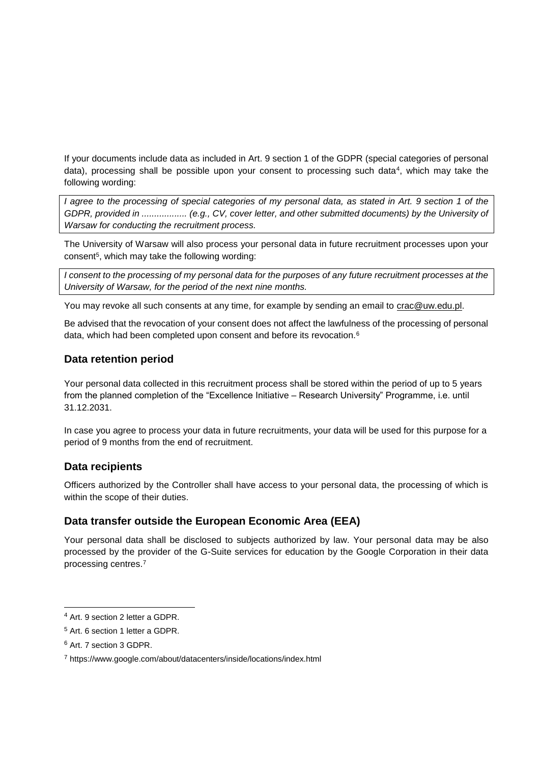If your documents include data as included in Art. 9 section 1 of the GDPR (special categories of personal data), processing shall be possible upon your consent to processing such data<sup>4</sup>, which may take the following wording:

*I agree to the processing of special categories of my personal data, as stated in Art. 9 section 1 of the GDPR, provided in ...................* (e.g., CV, cover letter, and other submitted documents) by the University of *Warsaw for conducting the recruitment process.*

The University of Warsaw will also process your personal data in future recruitment processes upon your consent<sup>5</sup>, which may take the following wording:

*I consent to the processing of my personal data for the purposes of any future recruitment processes at the University of Warsaw, for the period of the next nine months.*

You may revoke all such consents at any time, for example by sending an email to [crac@uw.edu.pl.](mailto:crac@uw.edu.pl)

Be advised that the revocation of your consent does not affect the lawfulness of the processing of personal data, which had been completed upon consent and before its revocation.<sup>6</sup>

#### **Data retention period**

Your personal data collected in this recruitment process shall be stored within the period of up to 5 years from the planned completion of the "Excellence Initiative – Research University" Programme, i.e. until 31.12.2031.

In case you agree to process your data in future recruitments, your data will be used for this purpose for a period of 9 months from the end of recruitment.

#### **Data recipients**

Officers authorized by the Controller shall have access to your personal data, the processing of which is within the scope of their duties.

## **Data transfer outside the European Economic Area (EEA)**

Your personal data shall be disclosed to subjects authorized by law. Your personal data may be also processed by the provider of the G-Suite services for education by the Google Corporation in their data processing centres.<sup>7</sup>

-

<sup>4</sup> Art. 9 section 2 letter a GDPR.

<sup>5</sup> Art. 6 section 1 letter a GDPR.

<sup>6</sup> Art. 7 section 3 GDPR.

<sup>7</sup> https://www.google.com/about/datacenters/inside/locations/index.html